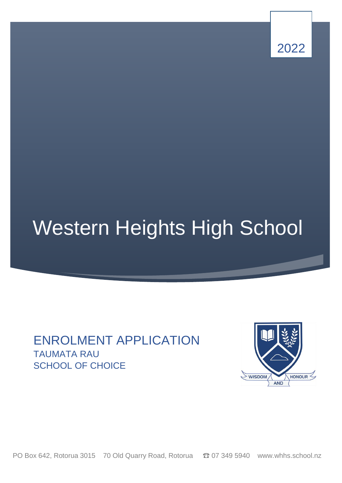

# Western Heights High School

# ENROLMENT APPLICATION TAUMATA RAU SCHOOL OF CHOICE



PO Box 642, Rotorua 3015 70 Old Quarry Road, Rotorua  $\bullet$  07 349 5940 www.whhs.school.nz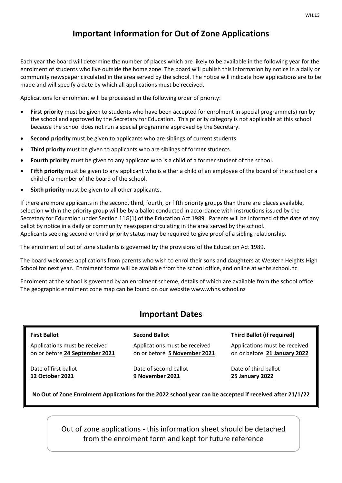# **Important Information for Out of Zone Applications**

Each year the board will determine the number of places which are likely to be available in the following year for the enrolment of students who live outside the home zone. The board will publish this information by notice in a daily or community newspaper circulated in the area served by the school. The notice will indicate how applications are to be made and will specify a date by which all applications must be received.

Applications for enrolment will be processed in the following order of priority:

- **First priority** must be given to students who have been accepted for enrolment in special programme(s) run by the school and approved by the Secretary for Education. This priority category is not applicable at this school because the school does not run a special programme approved by the Secretary.
- **Second priority** must be given to applicants who are siblings of current students.
- **Third priority** must be given to applicants who are siblings of former students.
- **Fourth priority** must be given to any applicant who is a child of a former student of the school.
- **Fifth priority** must be given to any applicant who is either a child of an employee of the board of the school or a child of a member of the board of the school.
- **Sixth priority** must be given to all other applicants.

If there are more applicants in the second, third, fourth, or fifth priority groups than there are places available, selection within the priority group will be by a ballot conducted in accordance with instructions issued by the Secretary for Education under Section 11G(1) of the Education Act 1989. Parents will be informed of the date of any ballot by notice in a daily or community newspaper circulating in the area served by the school. Applicants seeking second or third priority status may be required to give proof of a sibling relationship.

The enrolment of out of zone students is governed by the provisions of the Education Act 1989.

The board welcomes applications from parents who wish to enrol their sons and daughters at Western Heights High School for next year. Enrolment forms will be available from the school office, and online at whhs.school.nz

Enrolment at the school is governed by an enrolment scheme, details of which are available from the school office. The geographic enrolment zone map can be found on our website www.whhs.school.nz

# **Important Dates**

| <b>First Ballot</b>            | <b>Second Ballot</b>         |
|--------------------------------|------------------------------|
| Applications must be received  | Applications must be receive |
| on or before 24 September 2021 | on or before 5 November 20   |

 Date of first ballot  **12 October 2021**

Applications must be received on or before **5 November 2021**

Date of second ballot **9 November 2021**

#### **Third Ballot (if required)**

Applications must be received on or before **21 January 2022**

Date of third ballot **25 January 2022**

**No Out of Zone Enrolment Applications for the 2022 school year can be accepted if received after 21/1/22**

Out of zone applications - this information sheet should be detached from the enrolment form and kept for future reference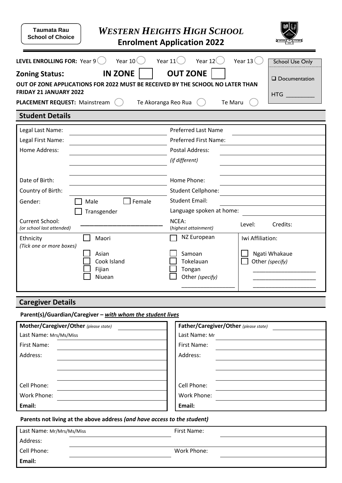| <b>Taumata Rau</b><br><b>School of Choice</b>                                                                                                                                                                                                                                                                                                                                                                     |                                          | <b>WESTERN HEIGHTS HIGH SCHOOL</b><br><b>Enrolment Application 2022</b> |                                  |  |  |  |  |
|-------------------------------------------------------------------------------------------------------------------------------------------------------------------------------------------------------------------------------------------------------------------------------------------------------------------------------------------------------------------------------------------------------------------|------------------------------------------|-------------------------------------------------------------------------|----------------------------------|--|--|--|--|
| Year $106$<br>LEVEL ENROLLING FOR: Year 9<br>Year $12($<br>Year $13($<br>Year $11$ <sup>(</sup><br><b>School Use Only</b><br><b>IN ZONE</b><br><b>OUT ZONE</b><br><b>Zoning Status:</b><br>$\square$ Documentation<br>OUT OF ZONE APPLICATIONS FOR 2022 MUST BE RECEIVED BY THE SCHOOL NO LATER THAN<br><b>FRIDAY 21 JANUARY 2022</b><br>HTG F<br>PLACEMENT REQUEST: Mainstream<br>Te Akoranga Reo Rua<br>Te Maru |                                          |                                                                         |                                  |  |  |  |  |
| <b>Student Details</b>                                                                                                                                                                                                                                                                                                                                                                                            |                                          |                                                                         |                                  |  |  |  |  |
| Legal Last Name:                                                                                                                                                                                                                                                                                                                                                                                                  |                                          | <b>Preferred Last Name</b>                                              |                                  |  |  |  |  |
| Legal First Name:                                                                                                                                                                                                                                                                                                                                                                                                 |                                          | Preferred First Name:                                                   |                                  |  |  |  |  |
| Home Address:                                                                                                                                                                                                                                                                                                                                                                                                     |                                          | <b>Postal Address:</b>                                                  |                                  |  |  |  |  |
|                                                                                                                                                                                                                                                                                                                                                                                                                   |                                          | (if different)                                                          |                                  |  |  |  |  |
| Date of Birth:                                                                                                                                                                                                                                                                                                                                                                                                    |                                          | Home Phone:                                                             |                                  |  |  |  |  |
| Country of Birth:                                                                                                                                                                                                                                                                                                                                                                                                 |                                          | Student Cellphone:                                                      |                                  |  |  |  |  |
| Gender:                                                                                                                                                                                                                                                                                                                                                                                                           | Female<br>Male                           | <b>Student Email:</b>                                                   |                                  |  |  |  |  |
|                                                                                                                                                                                                                                                                                                                                                                                                                   | Transgender                              | Language spoken at home:                                                |                                  |  |  |  |  |
| Current School:<br>(or school last attended)                                                                                                                                                                                                                                                                                                                                                                      |                                          | NCEA:<br>(highest attainment)                                           | Credits:<br>Level:               |  |  |  |  |
| Ethnicity<br>(Tick one or more boxes)                                                                                                                                                                                                                                                                                                                                                                             | Maori                                    | NZ European                                                             | Iwi Affiliation:                 |  |  |  |  |
|                                                                                                                                                                                                                                                                                                                                                                                                                   | Asian<br>Cook Island<br>Fijian<br>Niuean | Samoan<br>Tokelauan<br>Tongan<br>Other (specify)                        | Ngati Whakaue<br>Other (specify) |  |  |  |  |
| <b>Caregiver Details</b>                                                                                                                                                                                                                                                                                                                                                                                          |                                          |                                                                         |                                  |  |  |  |  |
| Parent(s)/Guardian/Caregiver - with whom the student lives                                                                                                                                                                                                                                                                                                                                                        |                                          |                                                                         |                                  |  |  |  |  |

| Mother/Caregiver/Other (please state) | Father/Caregiver/Other (please state) |  |  |
|---------------------------------------|---------------------------------------|--|--|
| Last Name: Mrs/Ms/Miss                | Last Name: Mr                         |  |  |
| First Name:                           | First Name:                           |  |  |
| Address:                              | Address:                              |  |  |
|                                       |                                       |  |  |
|                                       |                                       |  |  |
| Cell Phone:                           | Cell Phone:                           |  |  |
| Work Phone:                           | Work Phone:                           |  |  |
| Email:                                | Email:                                |  |  |

**Parents not living at the above address** *(and have access to the student)*

| Last Name: Mr/Mrs/Ms/Miss | First Name: |
|---------------------------|-------------|
| Address:                  |             |
| Cell Phone:               | Work Phone: |
| Email:                    |             |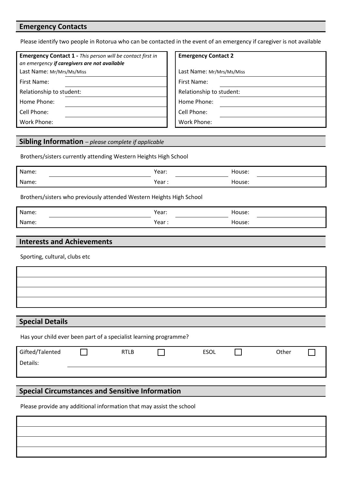# **Emergency Contacts**

Please identify two people in Rotorua who can be contacted in the event of an emergency if caregiver is not available

| <b>Emergency Contact 1 - This person will be contact first in</b><br>an emergency if caregivers are not available | <b>Emergency Contact 2</b> |  |
|-------------------------------------------------------------------------------------------------------------------|----------------------------|--|
| Last Name: Mr/Mrs/Ms/Miss                                                                                         | Last Name: Mr/Mrs/Ms/Miss  |  |
| First Name:                                                                                                       | First Name:                |  |
| Relationship to student:                                                                                          | Relationship to student:   |  |
| Home Phone:                                                                                                       | Home Phone:                |  |
| Cell Phone:                                                                                                       | Cell Phone:                |  |
| Work Phone:                                                                                                       | Work Phone:                |  |
|                                                                                                                   |                            |  |

#### **Sibling Information** *– please complete if applicable*

Brothers/sisters currently attending Western Heights High School

| Name: | Year:  | House: |
|-------|--------|--------|
| Name: | Year : | House: |

Brothers/sisters who previously attended Western Heights High School

| Name: | Year: | House: |
|-------|-------|--------|
| Name: | Year: | House: |

### **Interests and Achievements**

Sporting, cultural, clubs etc

**Special Details**

Has your child ever been part of a specialist learning programme?

| Gifted/Talented | <b>RTLB</b> | <b>ESOL</b> | Other |  |
|-----------------|-------------|-------------|-------|--|
| Details:        |             |             |       |  |
|                 |             |             |       |  |
|                 |             |             |       |  |

# **Special Circumstances and Sensitive Information**

Please provide any additional information that may assist the school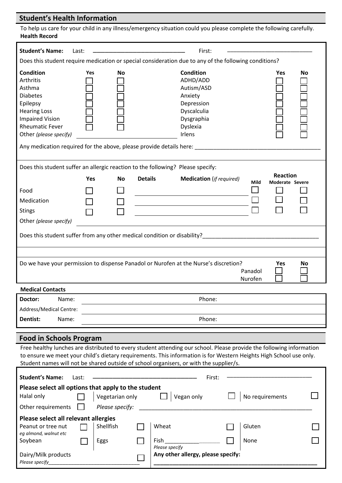# **Student's Health Information**

Dairy/Milk products

*Please specify\_\_\_\_\_\_\_\_\_\_\_\_\_\_\_\_\_\_\_\_\_\_\_\_\_\_\_\_\_\_\_\_*

| To help us care for your child in any illness/emergency situation could you please complete the following carefully.<br><b>Health Record</b>                                                                                                                                                                                         |                                                                                                       |                 |                |                                                                                                                        |  |                                            |    |
|--------------------------------------------------------------------------------------------------------------------------------------------------------------------------------------------------------------------------------------------------------------------------------------------------------------------------------------|-------------------------------------------------------------------------------------------------------|-----------------|----------------|------------------------------------------------------------------------------------------------------------------------|--|--------------------------------------------|----|
| <b>Student's Name:</b>                                                                                                                                                                                                                                                                                                               | Last:                                                                                                 |                 |                | First:                                                                                                                 |  |                                            |    |
|                                                                                                                                                                                                                                                                                                                                      | Does this student require medication or special consideration due to any of the following conditions? |                 |                |                                                                                                                        |  |                                            |    |
| <b>Condition</b><br>Arthritis<br>Asthma<br><b>Diabetes</b><br>Epilepsy<br><b>Hearing Loss</b><br><b>Impaired Vision</b><br><b>Rheumatic Fever</b><br>Other (please specify)                                                                                                                                                          | Yes                                                                                                   | <b>No</b>       |                | <b>Condition</b><br>ADHD/ADD<br>Autism/ASD<br>Anxiety<br>Depression<br>Dyscalculia<br>Dysgraphia<br>Dyslexia<br>Irlens |  | Yes                                        | No |
|                                                                                                                                                                                                                                                                                                                                      |                                                                                                       |                 |                | Any medication required for the above, please provide details here: __________                                         |  |                                            |    |
|                                                                                                                                                                                                                                                                                                                                      |                                                                                                       |                 |                | Does this student suffer an allergic reaction to the following? Please specify:                                        |  |                                            |    |
|                                                                                                                                                                                                                                                                                                                                      | Yes                                                                                                   | <b>No</b>       | <b>Details</b> | <b>Medication</b> (if required)                                                                                        |  | <b>Reaction</b><br>Mild<br>Moderate Severe |    |
| Food                                                                                                                                                                                                                                                                                                                                 |                                                                                                       |                 |                |                                                                                                                        |  |                                            |    |
| Medication                                                                                                                                                                                                                                                                                                                           |                                                                                                       |                 |                |                                                                                                                        |  |                                            |    |
| <b>Stings</b>                                                                                                                                                                                                                                                                                                                        |                                                                                                       |                 |                |                                                                                                                        |  |                                            |    |
| Other (please specify)                                                                                                                                                                                                                                                                                                               |                                                                                                       |                 |                |                                                                                                                        |  |                                            |    |
|                                                                                                                                                                                                                                                                                                                                      |                                                                                                       |                 |                | Does this student suffer from any other medical condition or disability?____________________________                   |  |                                            |    |
|                                                                                                                                                                                                                                                                                                                                      |                                                                                                       |                 |                | Do we have your permission to dispense Panadol or Nurofen at the Nurse's discretion?                                   |  | Yes                                        | No |
|                                                                                                                                                                                                                                                                                                                                      |                                                                                                       |                 |                |                                                                                                                        |  | Panadol<br>Nurofen                         |    |
| <b>Medical Contacts</b>                                                                                                                                                                                                                                                                                                              |                                                                                                       |                 |                |                                                                                                                        |  |                                            |    |
| Doctor:<br>Name:                                                                                                                                                                                                                                                                                                                     |                                                                                                       |                 |                | Phone:                                                                                                                 |  |                                            |    |
| Address/Medical Centre:                                                                                                                                                                                                                                                                                                              |                                                                                                       |                 |                |                                                                                                                        |  |                                            |    |
| Dentist:<br>Name:                                                                                                                                                                                                                                                                                                                    |                                                                                                       |                 |                | Phone:                                                                                                                 |  |                                            |    |
| <b>Food in Schools Program</b>                                                                                                                                                                                                                                                                                                       |                                                                                                       |                 |                |                                                                                                                        |  |                                            |    |
| Free healthy lunches are distributed to every student attending our school. Please provide the following information<br>to ensure we meet your child's dietary requirements. This information is for Western Heights High School use only.<br>Student names will not be shared outside of school organisers, or with the supplier/s. |                                                                                                       |                 |                |                                                                                                                        |  |                                            |    |
| <b>Student's Name:</b>                                                                                                                                                                                                                                                                                                               | Last:                                                                                                 |                 |                | First:                                                                                                                 |  |                                            |    |
| Please select all options that apply to the student                                                                                                                                                                                                                                                                                  |                                                                                                       |                 |                |                                                                                                                        |  |                                            |    |
| Halal only                                                                                                                                                                                                                                                                                                                           |                                                                                                       | Vegetarian only |                | Vegan only                                                                                                             |  | No requirements                            |    |
| Other requirements                                                                                                                                                                                                                                                                                                                   |                                                                                                       | Please specify: |                |                                                                                                                        |  |                                            |    |
| Please select all relevant allergies                                                                                                                                                                                                                                                                                                 |                                                                                                       |                 |                |                                                                                                                        |  |                                            |    |
| Peanut or tree nut                                                                                                                                                                                                                                                                                                                   |                                                                                                       | Shellfish       |                | Wheat                                                                                                                  |  | Gluten                                     |    |
| eg almond, walnut etc<br>Soybean                                                                                                                                                                                                                                                                                                     |                                                                                                       | Eggs            |                | Fish<br>Please specify                                                                                                 |  | None                                       |    |

**Any other allergy, please specify:**

**\_\_\_\_\_\_\_\_\_\_\_\_\_\_\_\_\_\_\_\_\_\_\_\_\_\_\_\_\_\_\_\_\_\_\_\_\_\_\_\_\_\_\_\_\_\_\_\_\_\_\_\_**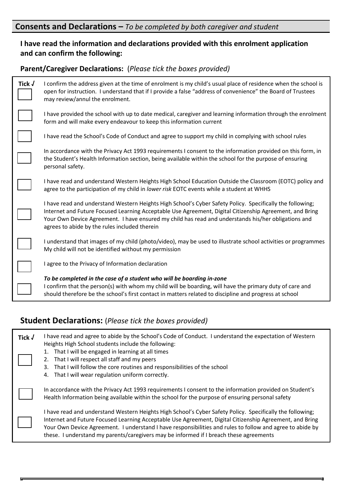# **Consents and Declarations –** *To be completed by both caregiver and student*

# **I have read the information and declarations provided with this enrolment application and can confirm the following:**

# **Parent/Caregiver Declarations:** (*Please tick the boxes provided)*

| Tick $\sqrt$ | I confirm the address given at the time of enrolment is my child's usual place of residence when the school is<br>open for instruction. I understand that if I provide a false "address of convenience" the Board of Trustees<br>may review/annul the enrolment.                                                                                                             |
|--------------|------------------------------------------------------------------------------------------------------------------------------------------------------------------------------------------------------------------------------------------------------------------------------------------------------------------------------------------------------------------------------|
|              | I have provided the school with up to date medical, caregiver and learning information through the enrolment<br>form and will make every endeavour to keep this information current                                                                                                                                                                                          |
|              | I have read the School's Code of Conduct and agree to support my child in complying with school rules                                                                                                                                                                                                                                                                        |
|              | In accordance with the Privacy Act 1993 requirements I consent to the information provided on this form, in<br>the Student's Health Information section, being available within the school for the purpose of ensuring<br>personal safety.                                                                                                                                   |
|              | I have read and understand Western Heights High School Education Outside the Classroom (EOTC) policy and<br>agree to the participation of my child in lower risk EOTC events while a student at WHHS                                                                                                                                                                         |
|              | I have read and understand Western Heights High School's Cyber Safety Policy. Specifically the following;<br>Internet and Future Focused Learning Acceptable Use Agreement, Digital Citizenship Agreement, and Bring<br>Your Own Device Agreement. I have ensured my child has read and understands his/her obligations and<br>agrees to abide by the rules included therein |
|              | I understand that images of my child (photo/video), may be used to illustrate school activities or programmes<br>My child will not be identified without my permission                                                                                                                                                                                                       |
|              | I agree to the Privacy of Information declaration                                                                                                                                                                                                                                                                                                                            |
|              | To be completed in the case of a student who will be boarding in-zone<br>I confirm that the person(s) with whom my child will be boarding, will have the primary duty of care and<br>should therefore be the school's first contact in matters related to discipline and progress at school                                                                                  |

# **Student Declarations:** (*Please tick the boxes provided)*

| Tick $\sqrt$ | I have read and agree to abide by the School's Code of Conduct. I understand the expectation of Western<br>Heights High School students include the following:<br>1. That I will be engaged in learning at all times<br>2. That I will respect all staff and my peers<br>3. That I will follow the core routines and responsibilities of the school<br>4. That I will wear regulation uniform correctly.                    |
|--------------|-----------------------------------------------------------------------------------------------------------------------------------------------------------------------------------------------------------------------------------------------------------------------------------------------------------------------------------------------------------------------------------------------------------------------------|
|              | In accordance with the Privacy Act 1993 requirements I consent to the information provided on Student's<br>Health Information being available within the school for the purpose of ensuring personal safety                                                                                                                                                                                                                 |
|              | I have read and understand Western Heights High School's Cyber Safety Policy. Specifically the following;<br>Internet and Future Focused Learning Acceptable Use Agreement, Digital Citizenship Agreement, and Bring<br>Your Own Device Agreement. I understand I have responsibilities and rules to follow and agree to abide by<br>these. I understand my parents/caregivers may be informed if I breach these agreements |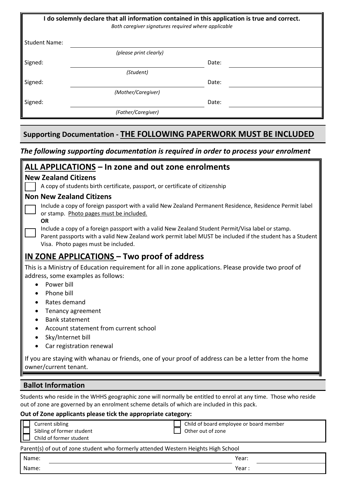| I do solemnly declare that all information contained in this application is true and correct.<br>Both caregiver signatures required where applicable |                        |       |  |  |  |  |
|------------------------------------------------------------------------------------------------------------------------------------------------------|------------------------|-------|--|--|--|--|
| <b>Student Name:</b>                                                                                                                                 |                        |       |  |  |  |  |
|                                                                                                                                                      | (please print clearly) |       |  |  |  |  |
| Signed:                                                                                                                                              | Date:                  |       |  |  |  |  |
|                                                                                                                                                      | (Student)              |       |  |  |  |  |
| Signed:                                                                                                                                              |                        | Date: |  |  |  |  |
|                                                                                                                                                      | (Mother/Caregiver)     |       |  |  |  |  |
| Signed:                                                                                                                                              |                        | Date: |  |  |  |  |
|                                                                                                                                                      | (Father/Caregiver)     |       |  |  |  |  |
|                                                                                                                                                      |                        |       |  |  |  |  |
| <b>Supporting Documentation - THE FOLLOWING PAPERWORK MUST BE INCLUDED</b>                                                                           |                        |       |  |  |  |  |

# *The following supporting documentation is required in order to process your enrolment*

| ALL APPLICATIONS - In zone and out zone enrolments                                                                                                                                                                                                                                                                                                                                                                                                                             |  |  |  |  |
|--------------------------------------------------------------------------------------------------------------------------------------------------------------------------------------------------------------------------------------------------------------------------------------------------------------------------------------------------------------------------------------------------------------------------------------------------------------------------------|--|--|--|--|
| <b>New Zealand Citizens</b>                                                                                                                                                                                                                                                                                                                                                                                                                                                    |  |  |  |  |
| A copy of students birth certificate, passport, or certificate of citizenship                                                                                                                                                                                                                                                                                                                                                                                                  |  |  |  |  |
| <b>Non New Zealand Citizens</b>                                                                                                                                                                                                                                                                                                                                                                                                                                                |  |  |  |  |
| Include a copy of foreign passport with a valid New Zealand Permanent Residence, Residence Permit label<br>or stamp. Photo pages must be included.<br><b>OR</b>                                                                                                                                                                                                                                                                                                                |  |  |  |  |
| Include a copy of a foreign passport with a valid New Zealand Student Permit/Visa label or stamp.<br>Parent passports with a valid New Zealand work permit label MUST be included if the student has a Student<br>Visa. Photo pages must be included.                                                                                                                                                                                                                          |  |  |  |  |
| <u>IN ZONE APPLICATIONS</u> – Two proof of address                                                                                                                                                                                                                                                                                                                                                                                                                             |  |  |  |  |
| This is a Ministry of Education requirement for all in zone applications. Please provide two proof of<br>address, some examples as follows:<br>Power bill<br>Phone bill<br>Rates demand<br>Tenancy agreement<br>$\bullet$<br><b>Bank statement</b><br>Account statement from current school<br>Sky/Internet bill<br>Car registration renewal<br>If you are staying with whanau or friends, one of your proof of address can be a letter from the home<br>owner/current tenant. |  |  |  |  |
| <b>Ballot Information</b>                                                                                                                                                                                                                                                                                                                                                                                                                                                      |  |  |  |  |
| Students who reside in the WHHS geographic zone will normally be entitled to enrol at any time. Those who reside<br>out of zone are governed by an enrolment scheme details of which are included in this pack.<br>Out of Zone applicants please tick the appropriate category:                                                                                                                                                                                                |  |  |  |  |
| <b>Current sibling</b><br>Child of board employee or board member<br>Sibling of former student<br>Other out of zone<br>Child of former student                                                                                                                                                                                                                                                                                                                                 |  |  |  |  |

#### Parent(s) of out of zone student who formerly attended Western Heights High School

| Name: | Year: |
|-------|-------|
| Name: | Year  |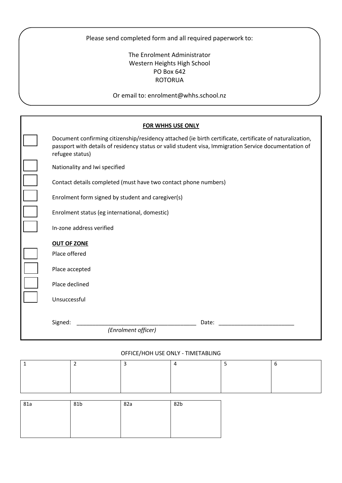Please send completed form and all required paperwork to:

# The Enrolment Administrator Western Heights High School PO Box 642 ROTORUA

Or email to: enrolment@whhs.school.nz

|                                                                 | <b>FOR WHHS USE ONLY</b>                                                                                                                                                                                          |
|-----------------------------------------------------------------|-------------------------------------------------------------------------------------------------------------------------------------------------------------------------------------------------------------------|
| refugee status)                                                 | Document confirming citizenship/residency attached (ie birth certificate, certificate of naturalization,<br>passport with details of residency status or valid student visa, Immigration Service documentation of |
| Nationality and Iwi specified                                   |                                                                                                                                                                                                                   |
| Contact details completed (must have two contact phone numbers) |                                                                                                                                                                                                                   |
| Enrolment form signed by student and caregiver(s)               |                                                                                                                                                                                                                   |
| Enrolment status (eg international, domestic)                   |                                                                                                                                                                                                                   |
| In-zone address verified                                        |                                                                                                                                                                                                                   |
| <b>OUT OF ZONE</b>                                              |                                                                                                                                                                                                                   |
| Place offered                                                   |                                                                                                                                                                                                                   |
| Place accepted                                                  |                                                                                                                                                                                                                   |
| Place declined                                                  |                                                                                                                                                                                                                   |
| Unsuccessful                                                    |                                                                                                                                                                                                                   |
| Signed:                                                         | Date:                                                                                                                                                                                                             |
| (Enrolment officer)                                             |                                                                                                                                                                                                                   |

#### OFFICE/HOH USE ONLY - TIMETABLING

| 81a | 81b | 82a | 82b |
|-----|-----|-----|-----|
|     |     |     |     |
|     |     |     |     |
|     |     |     |     |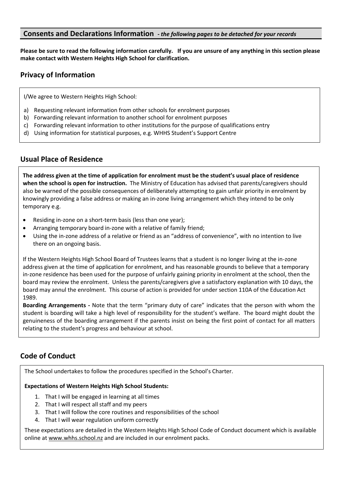## **Consents and Declarations Information** *- the following pages to be detached for your records*

**Please be sure to read the following information carefully. If you are unsure of any anything in this section please make contact with Western Heights High School for clarification.**

# **Privacy of Information**

I/We agree to Western Heights High School:

- a) Requesting relevant information from other schools for enrolment purposes
- b) Forwarding relevant information to another school for enrolment purposes
- c) Forwarding relevant information to other institutions for the purpose of qualifications entry
- d) Using information for statistical purposes, e.g. WHHS Student's Support Centre

## **Usual Place of Residence**

**The address given at the time of application for enrolment must be the student's usual place of residence when the school is open for instruction.** The Ministry of Education has advised that parents/caregivers should also be warned of the possible consequences of deliberately attempting to gain unfair priority in enrolment by knowingly providing a false address or making an in-zone living arrangement which they intend to be only temporary e.g.

- Residing in-zone on a short-term basis (less than one year);
- Arranging temporary board in-zone with a relative of family friend;
- Using the in-zone address of a relative or friend as an "address of convenience", with no intention to live there on an ongoing basis.

If the Western Heights High School Board of Trustees learns that a student is no longer living at the in-zone address given at the time of application for enrolment, and has reasonable grounds to believe that a temporary in-zone residence has been used for the purpose of unfairly gaining priority in enrolment at the school, then the board may review the enrolment. Unless the parents/caregivers give a satisfactory explanation with 10 days, the board may annul the enrolment. This course of action is provided for under section 110A of the Education Act 1989.

**Boarding Arrangements -** Note that the term "primary duty of care" indicates that the person with whom the student is boarding will take a high level of responsibility for the student's welfare. The board might doubt the genuineness of the boarding arrangement if the parents insist on being the first point of contact for all matters relating to the student's progress and behaviour at school.

# **Code of Conduct**

The School undertakes to follow the procedures specified in the School's Charter.

#### **Expectations of Western Heights High School Students:**

- 1. That I will be engaged in learning at all times
- 2. That I will respect all staff and my peers
- 3. That I will follow the core routines and responsibilities of the school
- 4. That I will wear regulation uniform correctly

These expectations are detailed in the Western Heights High School Code of Conduct document which is available online a[t www.whhs.school.nz](http://www.whhs.school.nz/) and are included in our enrolment packs.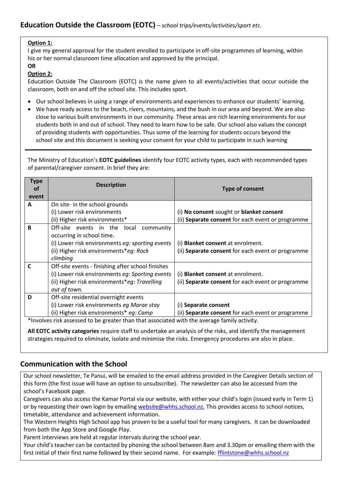#### **Option 1:**

I give my general approval for the student enrolled to participate in off-site programmes of learning, within his or her normal classroom time allocation and approved by the principal.

#### **OR**

#### **Option 2:**

Education Outside The Classroom (EOTC) is the name given to all events/activities that occur outside the classroom, both on and off the school site. This includes sport.

- Our school believes in using a range of environments and experiences to enhance our students' learning.
- We have ready access to the beach, rivers, mountains, and the bush in our area and beyond. We are also close to various built environments in our community. These areas are rich learning environments for our students both in and out of school. They need to learn how to be safe. Our school also values the concept of providing students with opportunities. Thus some of the learning for students occurs beyond the school site and this document is seeking your consent for your child to participate in such learning

The Ministry of Education's **EOTC guidelines** identify four EOTC activity types, each with recommended types of parental/caregiver consent. In brief they are:

| <b>Type</b><br>οf<br>event                                                                   | <b>Description</b>                                | <b>Type of consent</b>                            |  |
|----------------------------------------------------------------------------------------------|---------------------------------------------------|---------------------------------------------------|--|
| A                                                                                            | On site- in the school grounds                    |                                                   |  |
|                                                                                              | (i) Lower risk environments                       | (i) No consent sought or blanket consent          |  |
|                                                                                              | (ii) Higher risk environments*                    | (ii) Separate consent for each event or programme |  |
| B                                                                                            | Off-site events in the local<br>community         |                                                   |  |
|                                                                                              | occurring in school time.                         |                                                   |  |
|                                                                                              | (i) Lower risk environments eq: sporting events   | (i) <b>Blanket consent</b> at enrolment.          |  |
|                                                                                              | (ii) Higher risk environments*eg: Rock            | (ii) Separate consent for each event or programme |  |
|                                                                                              | climbing                                          |                                                   |  |
| C                                                                                            | Off-site events - finishing after school finishes |                                                   |  |
|                                                                                              | (i) Lower risk environments eg: Sporting events   | (i) <b>Blanket consent</b> at enrolment.          |  |
|                                                                                              | (ii) Higher risk environments*eg: Travelling      | (ii) Separate consent for each event or programme |  |
|                                                                                              | out of town.                                      |                                                   |  |
| D                                                                                            | Off-site residential overnight events             |                                                   |  |
|                                                                                              | (i) Lower risk environments eg Marae stay         | (i) Separate consent                              |  |
|                                                                                              | (ii) Higher risk environments* eq: Camp           | (ii) Separate consent for each event or programme |  |
| *Involves risk assessed to be greater than that associated with the average family activity. |                                                   |                                                   |  |

**All EOTC activity categories** require staff to undertake an analysis of the risks, and identify the management strategies required to eliminate, isolate and minimise the risks. Emergency procedures are also in place.

# **Communication with the School**

Our school newsletter, Te Panui, will be emailed to the email address provided in the Caregiver Details section of this form (the first issue will have an option to unsubscribe). The newsletter can also be accessed from the school's Facebook page.

Caregivers can also access the Kamar Portal via our website, with either your child's login (issued early in Term 1) or by requesting their own login by emailin[g website@whhs.school.nz.](mailto:website@whhs.school.nz) This provides access to school notices, timetable, attendance and achievement information.

The Western Heights High School app has proven to be a useful tool for many caregivers. It can be downloaded from both the App Store and Google Play.

Parent interviews are held at regular intervals during the school year.

Your child's teacher can be contacted by phoning the school between 8am and 3.30pm or emailing them with the first initial of their first name followed by their second name. For example: **fflintstone@whhs.school.nz**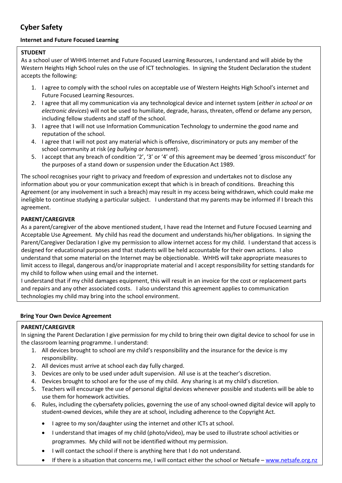# **Cyber Safety**

# **Internet and Future Focused Learning**

#### **STUDENT**

As a school user of WHHS Internet and Future Focused Learning Resources, I understand and will abide by the Western Heights High School rules on the use of ICT technologies. In signing the Student Declaration the student accepts the following:

- 1. I agree to comply with the school rules on acceptable use of Western Heights High School's internet and Future Focused Learning Resources.
- 2. I agree that all my communication via any technological device and internet system (*either in school or on electronic devices*) will not be used to humiliate, degrade, harass, threaten, offend or defame any person, including fellow students and staff of the school.
- 3. I agree that I will not use Information Communication Technology to undermine the good name and reputation of the school.
- 4. I agree that I will not post any material which is offensive, discriminatory or puts any member of the school community at risk (*eg bullying or harassment*).
- 5. I accept that any breach of condition '2', '3' or '4' of this agreement may be deemed 'gross misconduct' for the purposes of a stand down or suspension under the Education Act 1989.

The school recognises your right to privacy and freedom of expression and undertakes not to disclose any information about you or your communication except that which is in breach of conditions. Breaching this Agreement (or any involvement in such a breach) may result in my access being withdrawn, which could make me ineligible to continue studying a particular subject. I understand that my parents may be informed if I breach this agreement.

## **PARENT/CAREGIVER**

As a parent/caregiver of the above mentioned student, I have read the Internet and Future Focused Learning and Acceptable Use Agreement. My child has read the document and understands his/her obligations. In signing the Parent/Caregiver Declaration I give my permission to allow internet access for my child. I understand that access is designed for educational purposes and that students will be held accountable for their own actions. I also understand that some material on the Internet may be objectionable. WHHS will take appropriate measures to limit access to illegal, dangerous and/or inappropriate material and I accept responsibility for setting standards for my child to follow when using email and the internet.

I understand that if my child damages equipment, this will result in an invoice for the cost or replacement parts and repairs and any other associated costs. I also understand this agreement applies to communication technologies my child may bring into the school environment.

#### **Bring Your Own Device Agreement**

## **PARENT/CAREGIVER**

In signing the Parent Declaration I give permission for my child to bring their own digital device to school for use in the classroom learning programme. I understand:

- 1. All devices brought to school are my child's responsibility and the insurance for the device is my responsibility.
- 2. All devices must arrive at school each day fully charged.
- 3. Devices are only to be used under adult supervision. All use is at the teacher's discretion.
- 4. Devices brought to school are for the use of my child. Any sharing is at my child's discretion.
- 5. Teachers will encourage the use of personal digital devices whenever possible and students will be able to use them for homework activities.
- 6. Rules, including the cybersafety policies, governing the use of any school-owned digital device will apply to student-owned devices, while they are at school, including adherence to the Copyright Act.
	- I agree to my son/daughter using the internet and other ICTs at school.
	- I understand that images of my child (photo/video), may be used to illustrate school activities or programmes. My child will not be identified without my permission.
	- I will contact the school if there is anything here that I do not understand.
	- If there is a situation that concerns me, I will contact either the school or Netsafe [www.netsafe.org.nz](http://www.netsafe.org.nz/)